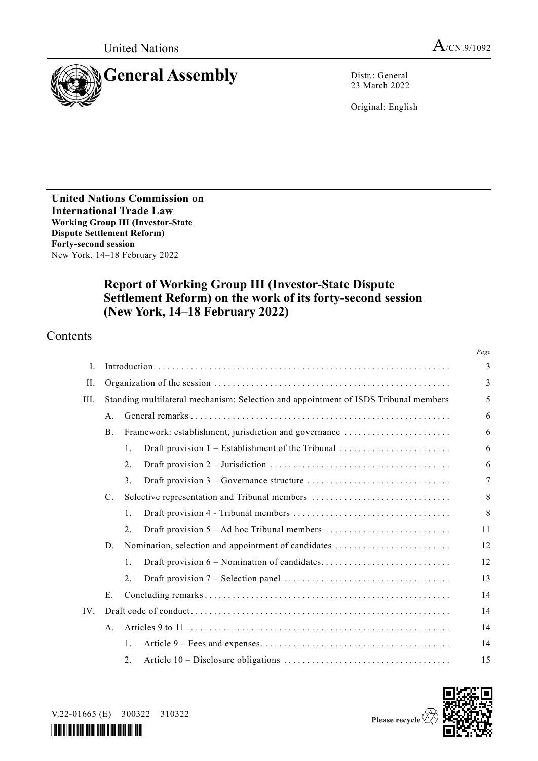

23 March 2022

Original: English

**United Nations Commission on International Trade Law Working Group III (Investor-State Dispute Settlement Reform) Forty-second session** New York, 14–18 February 2022

# **Report of Working Group III (Investor-State Dispute Settlement Reform) on the work of its forty-second session (New York, 14–18 February 2022)**

# Contents

|      |                                                                                     |                                               |                                                       | Page |
|------|-------------------------------------------------------------------------------------|-----------------------------------------------|-------------------------------------------------------|------|
| I.   |                                                                                     |                                               |                                                       | 3    |
| II.  |                                                                                     |                                               |                                                       |      |
| III. | Standing multilateral mechanism: Selection and appointment of ISDS Tribunal members |                                               |                                                       | 5    |
|      | A <sub>1</sub>                                                                      |                                               |                                                       |      |
|      | <b>B.</b>                                                                           |                                               | Framework: establishment, jurisdiction and governance | 6    |
|      |                                                                                     | 1.                                            | Draft provision 1 – Establishment of the Tribunal     | 6    |
|      |                                                                                     | 2.                                            |                                                       | 6    |
|      |                                                                                     | 3.                                            |                                                       | 7    |
|      | $C_{\cdot}$                                                                         | Selective representation and Tribunal members |                                                       | 8    |
|      |                                                                                     | 1.                                            |                                                       | 8    |
|      |                                                                                     | 2.5                                           |                                                       | 11   |
|      | D.                                                                                  |                                               | Nomination, selection and appointment of candidates   | 12   |
|      |                                                                                     | 1.                                            |                                                       | 12   |
|      |                                                                                     | 2.                                            |                                                       | 13   |
|      | E.                                                                                  |                                               |                                                       | 14   |
| IV.  |                                                                                     |                                               |                                                       | 14   |
|      | Α.                                                                                  |                                               |                                                       | 14   |
|      |                                                                                     | 1.                                            |                                                       | 14   |
|      |                                                                                     | 2.                                            |                                                       | 15   |



V.22-01665 (E) 300322 310322

*\*2201665\**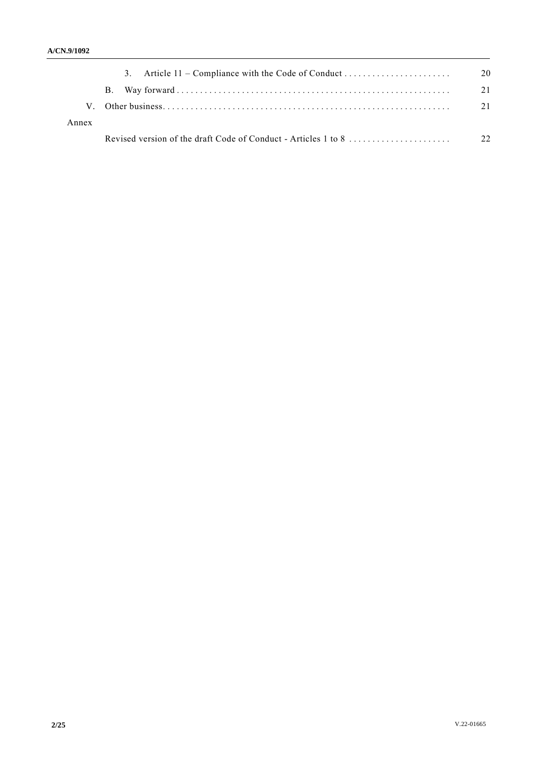|       | 3. Article 11 – Compliance with the Code of Conduct | 20 |
|-------|-----------------------------------------------------|----|
|       |                                                     | 21 |
| V.    |                                                     | 21 |
| Annex |                                                     |    |
|       |                                                     |    |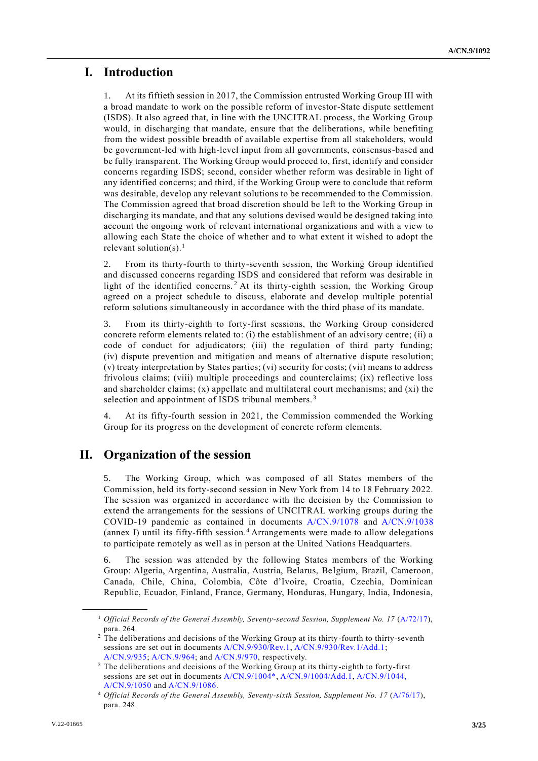# **I. Introduction**

1. At its fiftieth session in 2017, the Commission entrusted Working Group III with a broad mandate to work on the possible reform of investor-State dispute settlement (ISDS). It also agreed that, in line with the UNCITRAL process, the Working Group would, in discharging that mandate, ensure that the deliberations, while benefiting from the widest possible breadth of available expertise from all stakeholders, would be government-led with high-level input from all governments, consensus-based and be fully transparent. The Working Group would proceed to, first, identify and consider concerns regarding ISDS; second, consider whether reform was desirable in light of any identified concerns; and third, if the Working Group were to conclude that reform was desirable, develop any relevant solutions to be recommended to the Commission. The Commission agreed that broad discretion should be left to the Working Group in discharging its mandate, and that any solutions devised would be designed taking into account the ongoing work of relevant international organizations and with a view to allowing each State the choice of whether and to what extent it wished to adopt the relevant solution(s).<sup>1</sup>

2. From its thirty-fourth to thirty-seventh session, the Working Group identified and discussed concerns regarding ISDS and considered that reform was desirable in light of the identified concerns.<sup>2</sup> At its thirty-eighth session, the Working Group agreed on a project schedule to discuss, elaborate and develop multiple potential reform solutions simultaneously in accordance with the third phase of its mandate.

3. From its thirty-eighth to forty-first sessions, the Working Group considered concrete reform elements related to: (i) the establishment of an advisory centre; (ii) a code of conduct for adjudicators; (iii) the regulation of third party funding; (iv) dispute prevention and mitigation and means of alternative dispute resolution; (v) treaty interpretation by States parties; (vi) security for costs; (vii) means to address frivolous claims; (viii) multiple proceedings and counterclaims; (ix) reflective loss and shareholder claims;  $(x)$  appellate and multilateral court mechanisms; and  $(xi)$  the selection and appointment of ISDS tribunal members.<sup>3</sup>

At its fifty-fourth session in 2021, the Commission commended the Working Group for its progress on the development of concrete reform elements.

# **II. Organization of the session**

5. The Working Group, which was composed of all States members of the Commission, held its forty-second session in New York from 14 to 18 February 2022. The session was organized in accordance with the decision by the Commission to extend the arrangements for the sessions of UNCITRAL working groups during the COVID-19 pandemic as contained in documents [A/CN.9/1078](https://undocs.org/A/CN.9/1078) and [A/CN.9/1038](https://undocs.org/A/CN.9/1038) (annex I) until its fifty-fifth session.<sup>4</sup> Arrangements were made to allow delegations to participate remotely as well as in person at the United Nations Headquarters.

6. The session was attended by the following States members of the Working Group: Algeria, Argentina, Australia, Austria, Belarus, Belgium, Brazil, Cameroon, Canada, Chile, China, Colombia, Côte d'Ivoire, Croatia, Czechia, Dominican Republic, Ecuador, Finland, France, Germany, Honduras, Hungary, India, Indonesia,

**\_\_\_\_\_\_\_\_\_\_\_\_\_\_\_\_\_\_**

<sup>1</sup> *Official Records of the General Assembly, Seventy-second Session, Supplement No. 17* [\(A/72/17\)](http://undocs.org/A/72/17), para. 264.

<sup>&</sup>lt;sup>2</sup> The deliberations and decisions of the Working Group at its thirty-fourth to thirty-seventh sessions are set out in documents [A/CN.9/930/Rev.1,](https://undocs.org/A/CN.9/930/Rev.1) [A/CN.9/930/Rev.1/Add.1;](http://undocs.org/A/CN.9/930/Rev.1/Add.1) [A/CN.9/935;](https://undocs.org/A/CN.9/935) [A/CN.9/964;](http://undocs.org/A/CN.9/964) an[d A/CN.9/970,](https://undocs.org/A/CN.9/970) respectively.

<sup>&</sup>lt;sup>3</sup> The deliberations and decisions of the Working Group at its thirty-eighth to forty-first sessions are set out in documents [A/CN.9/1004\\*,](https://undocs.org/en/A/CN.9/1004) [A/CN.9/1004/Add.1,](https://undocs.org/en/A/CN.9/1004/Add.1) [A/CN.9/1044,](https://undocs.org/en/A/CN.9/1044) [A/CN.9/1050](https://undocs.org/en/A/CN.9/1050) an[d A/CN.9/1086.](http://undocs.org/A/CN.9/1086)

<sup>4</sup> *Official Records of the General Assembly, Seventy-sixth Session, Supplement No. 17* [\(A/76/17\)](https://undocs.org/en/A/76/17), para. 248.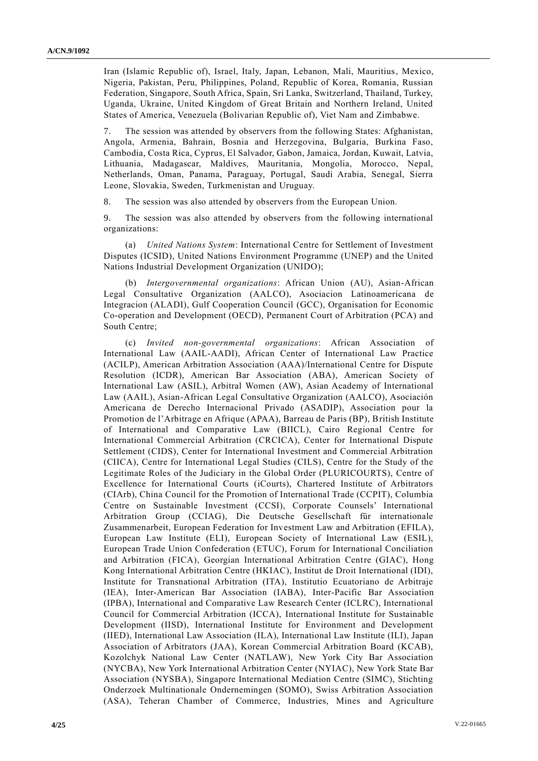Iran (Islamic Republic of), Israel, Italy, Japan, Lebanon, Mali, Mauritius, Mexico, Nigeria, Pakistan, Peru, Philippines, Poland, Republic of Korea, Romania, Russian Federation, Singapore, South Africa, Spain, Sri Lanka, Switzerland, Thailand, Turkey, Uganda, Ukraine, United Kingdom of Great Britain and Northern Ireland, United States of America, Venezuela (Bolivarian Republic of), Viet Nam and Zimbabwe.

7. The session was attended by observers from the following States: Afghanistan, Angola, Armenia, Bahrain, Bosnia and Herzegovina, Bulgaria, Burkina Faso, Cambodia, Costa Rica, Cyprus, El Salvador, Gabon, Jamaica, Jordan, Kuwait, Latvia, Lithuania, Madagascar, Maldives, Mauritania, Mongolia, Morocco, Nepal, Netherlands, Oman, Panama, Paraguay, Portugal, Saudi Arabia, Senegal, Sierra Leone, Slovakia, Sweden, Turkmenistan and Uruguay.

8. The session was also attended by observers from the European Union.

9. The session was also attended by observers from the following international organizations:

(a) *United Nations System*: International Centre for Settlement of Investment Disputes (ICSID), United Nations Environment Programme (UNEP) and the United Nations Industrial Development Organization (UNIDO);

(b) *Intergovernmental organizations*: African Union (AU), Asian-African Legal Consultative Organization (AALCO), Asociacion Latinoamericana de Integracion (ALADI), Gulf Cooperation Council (GCC), Organisation for Economic Co-operation and Development (OECD), Permanent Court of Arbitration (PCA) and South Centre;

(c) *Invited non-governmental organizations*: African Association of International Law (AAIL-AADI), African Center of International Law Practice (ACILP), American Arbitration Association (AAA)/International Centre for Dispute Resolution (ICDR), American Bar Association (ABA), American Society of International Law (ASIL), Arbitral Women (AW), Asian Academy of International Law (AAIL), Asian-African Legal Consultative Organization (AALCO), Asociación Americana de Derecho Internacional Privado (ASADIP), Association pour la Promotion de l'Arbitrage en Afrique (APAA), Barreau de Paris (BP), British Institute of International and Comparative Law (BIICL), Cairo Regional Centre for International Commercial Arbitration (CRCICA), Center for International Dispute Settlement (CIDS), Center for International Investment and Commercial Arbitration (CIICA), Centre for International Legal Studies (CILS), Centre for the Study of the Legitimate Roles of the Judiciary in the Global Order (PLURICOURTS), Centre of Excellence for International Courts (iCourts), Chartered Institute of Arbitrators (CIArb), China Council for the Promotion of International Trade (CCPIT), Columbia Centre on Sustainable Investment (CCSI), Corporate Counsels' International Arbitration Group (CCIAG), Die Deutsche Gesellschaft für internationale Zusammenarbeit, European Federation for Investment Law and Arbitration (EFILA), European Law Institute (ELI), European Society of International Law (ESIL), European Trade Union Confederation (ETUC), Forum for International Conciliation and Arbitration (FICA), Georgian International Arbitration Centre (GIAC), Hong Kong International Arbitration Centre (HKIAC), Institut de Droit International (IDI), Institute for Transnational Arbitration (ITA), Institutio Ecuatoriano de Arbitraje (IEA), Inter-American Bar Association (IABA), Inter-Pacific Bar Association (IPBA), International and Comparative Law Research Center (ICLRC), International Council for Commercial Arbitration (ICCA), International Institute for Sustainable Development (IISD), International Institute for Environment and Development (IIED), International Law Association (ILA), International Law Institute (ILI), Japan Association of Arbitrators (JAA), Korean Commercial Arbitration Board (KCAB), Kozolchyk National Law Center (NATLAW), New York City Bar Association (NYCBA), New York International Arbitration Center (NYIAC), New York State Bar Association (NYSBA), Singapore International Mediation Centre (SIMC), Stichting Onderzoek Multinationale Ondernemingen (SOMO), Swiss Arbitration Association (ASA), Teheran Chamber of Commerce, Industries, Mines and Agriculture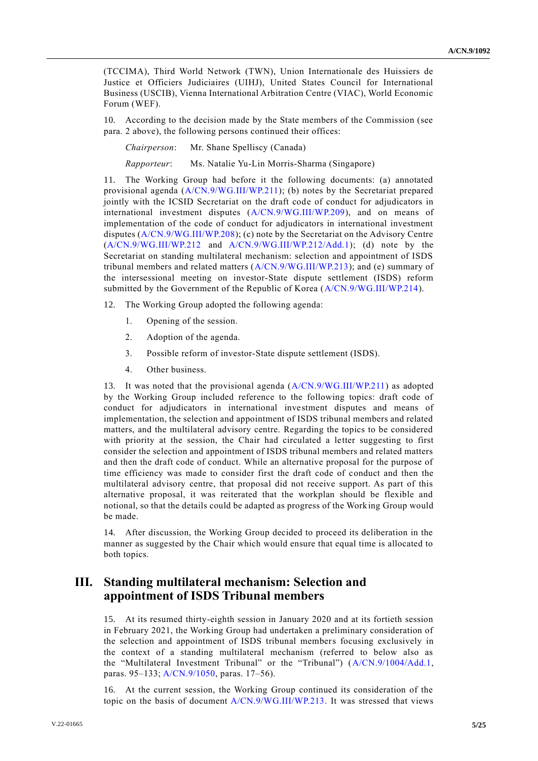(TCCIMA), Third World Network (TWN), Union Internationale des Huissiers de Justice et Officiers Judiciaires (UIHJ), United States Council for International Business (USCIB), Vienna International Arbitration Centre (VIAC), World Economic Forum (WEF).

10. According to the decision made by the State members of the Commission (see para. 2 above), the following persons continued their offices:

*Chairperson*: Mr. Shane Spelliscy (Canada)

*Rapporteur*: Ms. Natalie Yu-Lin Morris-Sharma (Singapore)

11. The Working Group had before it the following documents: (a) annotated provisional agenda [\(A/CN.9/WG.III/WP.211\)](http://undocs.org/A/CN.9/WG.III/WP.211); (b) notes by the Secretariat prepared jointly with the ICSID Secretariat on the draft code of conduct for adjudicators in international investment disputes [\(A/CN.9/WG.III/WP.209\)](http://undocs.org/A/CN.9/WG.III/WP.209), and on means of implementation of the code of conduct for adjudicators in international investment disputes [\(A/CN.9/WG.III/WP.208\)](http://undocs.org/A/CN.9/WG.III/WP.208); (c) note by the Secretariat on the Advisory Centre [\(A/CN.9/WG.III/WP.212](http://undocs.org/A/CN.9/WG.III/WP.212) and [A/CN.9/WG.III/WP.212/Add.1\)](http://undocs.org/A/CN.9/WG.III/WP.212/Add.1); (d) note by the Secretariat on standing multilateral mechanism: selection and appointment of ISDS tribunal members and related matters [\(A/CN.9/WG.III/WP.213\)](http://undocs.org/A/CN.9/WG.III/WP.213); and (e) summary of the intersessional meeting on investor-State dispute settlement (ISDS) reform submitted by the Government of the Republic of Korea [\(A/CN.9/WG.III/WP.214\)](https://uncitral.un.org/sites/uncitral.un.org/files/media-documents/uncitral/en/wp_214_intersessional_korea_as_sub_.pdf).

- 12. The Working Group adopted the following agenda:
	- 1. Opening of the session.
	- 2. Adoption of the agenda.
	- 3. Possible reform of investor-State dispute settlement (ISDS).
	- 4. Other business.

13. It was noted that the provisional agenda [\(A/CN.9/WG.III/WP.211\)](https://undocs.org/en/A/CN.9/WG.III/WP.211) as adopted by the Working Group included reference to the following topics: draft code of conduct for adjudicators in international investment disputes and means of implementation, the selection and appointment of ISDS tribunal members and related matters, and the multilateral advisory centre. Regarding the topics to be considered with priority at the session, the Chair had circulated a letter suggesting to first consider the selection and appointment of ISDS tribunal members and related matters and then the draft code of conduct. While an alternative proposal for the purpose of time efficiency was made to consider first the draft code of conduct and then the multilateral advisory centre, that proposal did not receive support. As part of this alternative proposal, it was reiterated that the workplan should be flexible and notional, so that the details could be adapted as progress of the Working Group would be made.

14. After discussion, the Working Group decided to proceed its deliberation in the manner as suggested by the Chair which would ensure that equal time is allocated to both topics.

# **III. Standing multilateral mechanism: Selection and appointment of ISDS Tribunal members**

15. At its resumed thirty-eighth session in January 2020 and at its fortieth session in February 2021, the Working Group had undertaken a preliminary consideration of the selection and appointment of ISDS tribunal members focusing exclusively in the context of a standing multilateral mechanism (referred to below also as the "Multilateral Investment Tribunal" or the "Tribunal") [\(A/CN.9/1004/Add.1,](http://undocs.org/A/CN.9/1004/Add.1) paras. 95–133; [A/CN.9/1050,](http://undocs.org/A/CN.9/1050) paras. 17–56).

16. At the current session, the Working Group continued its consideration of the topic on the basis of document [A/CN.9/WG.III/WP.213.](http://undocs.org/A/CN.9/WG.III/WP.213) It was stressed that views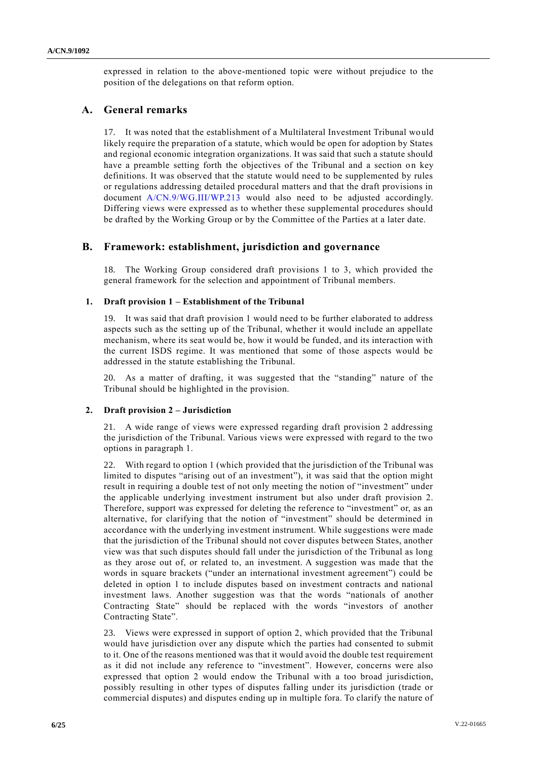expressed in relation to the above-mentioned topic were without prejudice to the position of the delegations on that reform option.

## **A. General remarks**

17. It was noted that the establishment of a Multilateral Investment Tribunal would likely require the preparation of a statute, which would be open for adoption by States and regional economic integration organizations. It was said that such a statute should have a preamble setting forth the objectives of the Tribunal and a section on key definitions. It was observed that the statute would need to be supplemented by rules or regulations addressing detailed procedural matters and that the draft provisions in document [A/CN.9/WG.III/WP.213](http://undocs.org/A/CN.9/WG.III/WP.213) would also need to be adjusted accordingly. Differing views were expressed as to whether these supplemental procedures should be drafted by the Working Group or by the Committee of the Parties at a later date.

## **B. Framework: establishment, jurisdiction and governance**

18. The Working Group considered draft provisions 1 to 3, which provided the general framework for the selection and appointment of Tribunal members.

## **1. Draft provision 1 – Establishment of the Tribunal**

19. It was said that draft provision 1 would need to be further elaborated to address aspects such as the setting up of the Tribunal, whether it would include an appellate mechanism, where its seat would be, how it would be funded, and its interaction with the current ISDS regime. It was mentioned that some of those aspects would be addressed in the statute establishing the Tribunal.

20. As a matter of drafting, it was suggested that the "standing" nature of the Tribunal should be highlighted in the provision.

## **2. Draft provision 2 – Jurisdiction**

21. A wide range of views were expressed regarding draft provision 2 addressing the jurisdiction of the Tribunal. Various views were expressed with regard to the two options in paragraph 1.

22. With regard to option 1 (which provided that the jurisdiction of the Tribunal was limited to disputes "arising out of an investment"), it was said that the option might result in requiring a double test of not only meeting the notion of "investment" under the applicable underlying investment instrument but also under draft provision 2. Therefore, support was expressed for deleting the reference to "investment" or, as an alternative, for clarifying that the notion of "investment" should be determined in accordance with the underlying investment instrument. While suggestions were made that the jurisdiction of the Tribunal should not cover disputes between States, another view was that such disputes should fall under the jurisdiction of the Tribunal as long as they arose out of, or related to, an investment. A suggestion was made that the words in square brackets ("under an international investment agreement") could be deleted in option 1 to include disputes based on investment contracts and national investment laws. Another suggestion was that the words "nationals of another Contracting State" should be replaced with the words "investors of another Contracting State".

23. Views were expressed in support of option 2, which provided that the Tribunal would have jurisdiction over any dispute which the parties had consented to submit to it. One of the reasons mentioned was that it would avoid the double test requirement as it did not include any reference to "investment". However, concerns were also expressed that option 2 would endow the Tribunal with a too broad jurisdiction, possibly resulting in other types of disputes falling under its jurisdiction (trade or commercial disputes) and disputes ending up in multiple fora. To clarify the nature of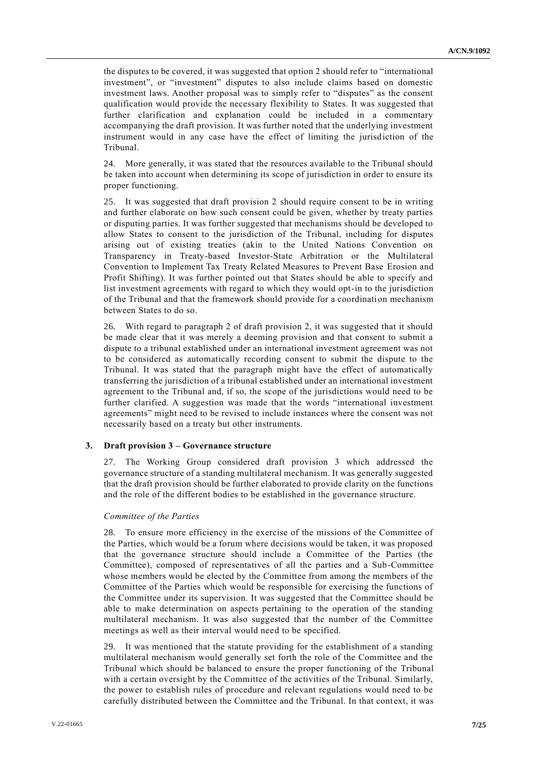the disputes to be covered, it was suggested that option 2 should refer to "international investment", or "investment" disputes to also include claims based on domestic investment laws. Another proposal was to simply refer to "disputes" as the consent qualification would provide the necessary flexibility to States. It was suggested that further clarification and explanation could be included in a commentary accompanying the draft provision. It was further noted that the underlying investment instrument would in any case have the effect of limiting the jurisdiction of the Tribunal.

24. More generally, it was stated that the resources available to the Tribunal should be taken into account when determining its scope of jurisdiction in order to ensure its proper functioning.

25. It was suggested that draft provision 2 should require consent to be in writing and further elaborate on how such consent could be given, whether by treaty parties or disputing parties. It was further suggested that mechanisms should be developed to allow States to consent to the jurisdiction of the Tribunal, including for disputes arising out of existing treaties (akin to the United Nations Convention on Transparency in Treaty-based Investor-State Arbitration or the Multilateral Convention to Implement Tax Treaty Related Measures to Prevent Base Erosion and Profit Shifting). It was further pointed out that States should be able to specify and list investment agreements with regard to which they would opt-in to the jurisdiction of the Tribunal and that the framework should provide for a coordination mechanism between States to do so.

26. With regard to paragraph 2 of draft provision 2, it was suggested that it should be made clear that it was merely a deeming provision and that consent to submit a dispute to a tribunal established under an international investment agreement was not to be considered as automatically recording consent to submit the dispute to the Tribunal. It was stated that the paragraph might have the effect of automatically transferring the jurisdiction of a tribunal established under an international investment agreement to the Tribunal and, if so, the scope of the jurisdictions would need to be further clarified. A suggestion was made that the words "international investment agreements" might need to be revised to include instances where the consent was not necessarily based on a treaty but other instruments.

#### **3. Draft provision 3 – Governance structure**

27. The Working Group considered draft provision 3 which addressed the governance structure of a standing multilateral mechanism. It was generally suggested that the draft provision should be further elaborated to provide clarity on the functions and the role of the different bodies to be established in the governance structure.

#### *Committee of the Parties*

28. To ensure more efficiency in the exercise of the missions of the Committee of the Parties, which would be a forum where decisions would be taken, it was proposed that the governance structure should include a Committee of the Parties (the Committee), composed of representatives of all the parties and a Sub-Committee whose members would be elected by the Committee from among the members of the Committee of the Parties which would be responsible for exercising the functions of the Committee under its supervision. It was suggested that the Committee should be able to make determination on aspects pertaining to the operation of the standing multilateral mechanism. It was also suggested that the number of the Committee meetings as well as their interval would need to be specified.

29. It was mentioned that the statute providing for the establishment of a standing multilateral mechanism would generally set forth the role of the Committee and the Tribunal which should be balanced to ensure the proper functioning of the Tribunal with a certain oversight by the Committee of the activities of the Tribunal. Similarly, the power to establish rules of procedure and relevant regulations would need to be carefully distributed between the Committee and the Tribunal. In that context, it was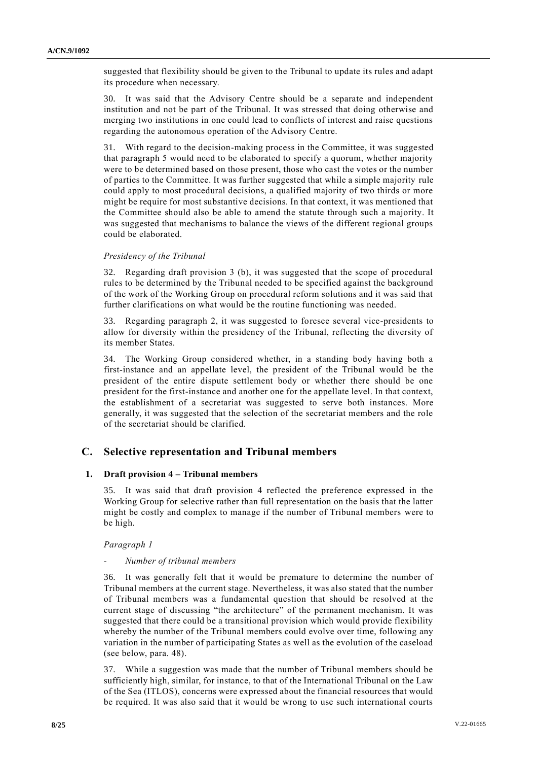suggested that flexibility should be given to the Tribunal to update its rules and adapt its procedure when necessary.

30. It was said that the Advisory Centre should be a separate and independent institution and not be part of the Tribunal. It was stressed that doing otherwise and merging two institutions in one could lead to conflicts of interest and raise questions regarding the autonomous operation of the Advisory Centre.

31. With regard to the decision-making process in the Committee, it was suggested that paragraph 5 would need to be elaborated to specify a quorum, whether majority were to be determined based on those present, those who cast the votes or the number of parties to the Committee. It was further suggested that while a simple majority rule could apply to most procedural decisions, a qualified majority of two thirds or more might be require for most substantive decisions. In that context, it was mentioned that the Committee should also be able to amend the statute through such a majority. It was suggested that mechanisms to balance the views of the different regional groups could be elaborated.

#### *Presidency of the Tribunal*

32. Regarding draft provision 3 (b), it was suggested that the scope of procedural rules to be determined by the Tribunal needed to be specified against the background of the work of the Working Group on procedural reform solutions and it was said that further clarifications on what would be the routine functioning was needed.

33. Regarding paragraph 2, it was suggested to foresee several vice-presidents to allow for diversity within the presidency of the Tribunal, reflecting the diversity of its member States.

34. The Working Group considered whether, in a standing body having both a first-instance and an appellate level, the president of the Tribunal would be the president of the entire dispute settlement body or whether there should be one president for the first-instance and another one for the appellate level. In that context, the establishment of a secretariat was suggested to serve both instances. More generally, it was suggested that the selection of the secretariat members and the role of the secretariat should be clarified.

## **C. Selective representation and Tribunal members**

## **1. Draft provision 4 – Tribunal members**

35. It was said that draft provision 4 reflected the preference expressed in the Working Group for selective rather than full representation on the basis that the latter might be costly and complex to manage if the number of Tribunal members were to be high.

*Paragraph 1*

### *- Number of tribunal members*

36. It was generally felt that it would be premature to determine the number of Tribunal members at the current stage. Nevertheless, it was also stated that the number of Tribunal members was a fundamental question that should be resolved at the current stage of discussing "the architecture" of the permanent mechanism. It was suggested that there could be a transitional provision which would provide flexibility whereby the number of the Tribunal members could evolve over time, following any variation in the number of participating States as well as the evolution of the caseload (see below, para. 48).

37. While a suggestion was made that the number of Tribunal members should be sufficiently high, similar, for instance, to that of the International Tribunal on the Law of the Sea (ITLOS), concerns were expressed about the financial resources that would be required. It was also said that it would be wrong to use such international courts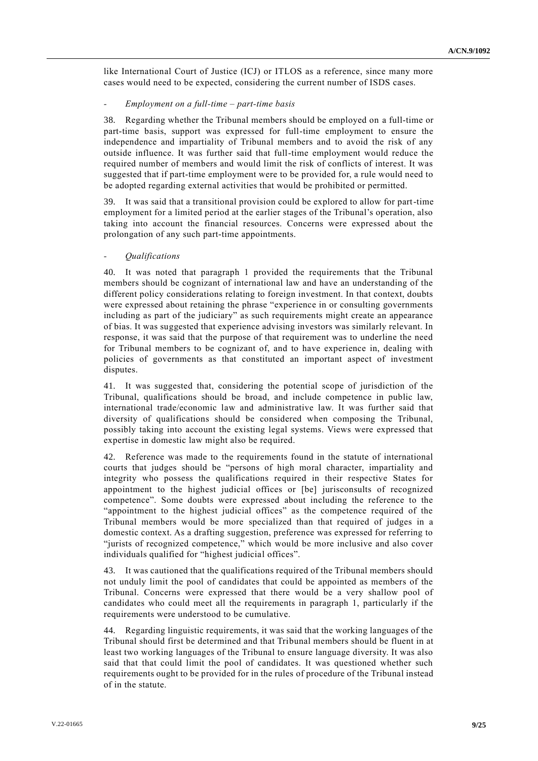like International Court of Justice (ICJ) or ITLOS as a reference, since many more cases would need to be expected, considering the current number of ISDS cases.

#### *- Employment on a full-time – part-time basis*

38. Regarding whether the Tribunal members should be employed on a full-time or part-time basis, support was expressed for full-time employment to ensure the independence and impartiality of Tribunal members and to avoid the risk of any outside influence. It was further said that full-time employment would reduce the required number of members and would limit the risk of conflicts of interest. It was suggested that if part-time employment were to be provided for, a rule would need to be adopted regarding external activities that would be prohibited or permitted.

39. It was said that a transitional provision could be explored to allow for part-time employment for a limited period at the earlier stages of the Tribunal's operation, also taking into account the financial resources. Concerns were expressed about the prolongation of any such part-time appointments.

#### *- Qualifications*

40. It was noted that paragraph 1 provided the requirements that the Tribunal members should be cognizant of international law and have an understanding of the different policy considerations relating to foreign investment. In that context, doubts were expressed about retaining the phrase "experience in or consulting governments including as part of the judiciary" as such requirements might create an appearance of bias. It was suggested that experience advising investors was similarly relevant. In response, it was said that the purpose of that requirement was to underline the need for Tribunal members to be cognizant of, and to have experience in, dealing with policies of governments as that constituted an important aspect of investment disputes.

41. It was suggested that, considering the potential scope of jurisdiction of the Tribunal, qualifications should be broad, and include competence in public law, international trade/economic law and administrative law. It was further said that diversity of qualifications should be considered when composing the Tribunal, possibly taking into account the existing legal systems. Views were expressed that expertise in domestic law might also be required.

42. Reference was made to the requirements found in the statute of international courts that judges should be "persons of high moral character, impartiality and integrity who possess the qualifications required in their respective States for appointment to the highest judicial offices or [be] jurisconsults of recognized competence". Some doubts were expressed about including the reference to the "appointment to the highest judicial offices" as the competence required of the Tribunal members would be more specialized than that required of judges in a domestic context. As a drafting suggestion, preference was expressed for referring to "jurists of recognized competence," which would be more inclusive and also cover individuals qualified for "highest judicial offices".

43. It was cautioned that the qualifications required of the Tribunal members should not unduly limit the pool of candidates that could be appointed as members of the Tribunal. Concerns were expressed that there would be a very shallow pool of candidates who could meet all the requirements in paragraph 1, particularly if the requirements were understood to be cumulative.

44. Regarding linguistic requirements, it was said that the working languages of the Tribunal should first be determined and that Tribunal members should be fluent in at least two working languages of the Tribunal to ensure language diversity. It was also said that that could limit the pool of candidates. It was questioned whether such requirements ought to be provided for in the rules of procedure of the Tribunal instead of in the statute.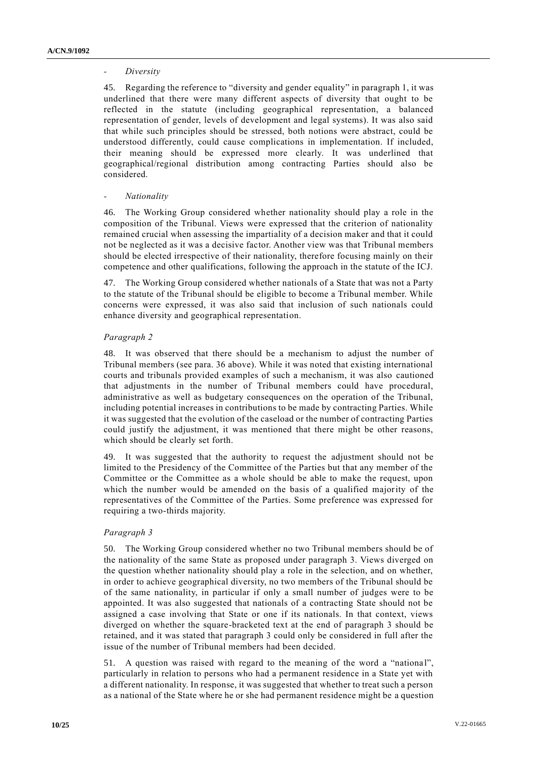## *- Diversity*

45. Regarding the reference to "diversity and gender equality" in paragraph 1, it was underlined that there were many different aspects of diversity that ought to be reflected in the statute (including geographical representation, a balanced representation of gender, levels of development and legal systems). It was also said that while such principles should be stressed, both notions were abstract, could be understood differently, could cause complications in implementation. If included, their meaning should be expressed more clearly. It was underlined that geographical/regional distribution among contracting Parties should also be considered.

## *- Nationality*

46. The Working Group considered whether nationality should play a role in the composition of the Tribunal. Views were expressed that the criterion of nationality remained crucial when assessing the impartiality of a decision maker and that it could not be neglected as it was a decisive factor. Another view was that Tribunal members should be elected irrespective of their nationality, therefore focusing mainly on their competence and other qualifications, following the approach in the statute of the ICJ.

47. The Working Group considered whether nationals of a State that was not a Party to the statute of the Tribunal should be eligible to become a Tribunal member. While concerns were expressed, it was also said that inclusion of such nationals could enhance diversity and geographical representation.

## *Paragraph 2*

48. It was observed that there should be a mechanism to adjust the number of Tribunal members (see para. 36 above). While it was noted that existing international courts and tribunals provided examples of such a mechanism, it was also cautioned that adjustments in the number of Tribunal members could have procedural, administrative as well as budgetary consequences on the operation of the Tribunal, including potential increases in contributions to be made by contracting Parties. While it was suggested that the evolution of the caseload or the number of contracting Parties could justify the adjustment, it was mentioned that there might be other reasons, which should be clearly set forth.

49. It was suggested that the authority to request the adjustment should not be limited to the Presidency of the Committee of the Parties but that any member of the Committee or the Committee as a whole should be able to make the request, upon which the number would be amended on the basis of a qualified majority of the representatives of the Committee of the Parties. Some preference was expressed for requiring a two-thirds majority.

## *Paragraph 3*

50. The Working Group considered whether no two Tribunal members should be of the nationality of the same State as proposed under paragraph 3. Views diverged on the question whether nationality should play a role in the selection, and on whether, in order to achieve geographical diversity, no two members of the Tribunal should be of the same nationality, in particular if only a small number of judges were to be appointed. It was also suggested that nationals of a contracting State should not be assigned a case involving that State or one if its nationals. In that context, views diverged on whether the square-bracketed text at the end of paragraph 3 should be retained, and it was stated that paragraph 3 could only be considered in full after the issue of the number of Tribunal members had been decided.

51. A question was raised with regard to the meaning of the word a "nationa l", particularly in relation to persons who had a permanent residence in a State yet with a different nationality. In response, it was suggested that whether to treat such a person as a national of the State where he or she had permanent residence might be a question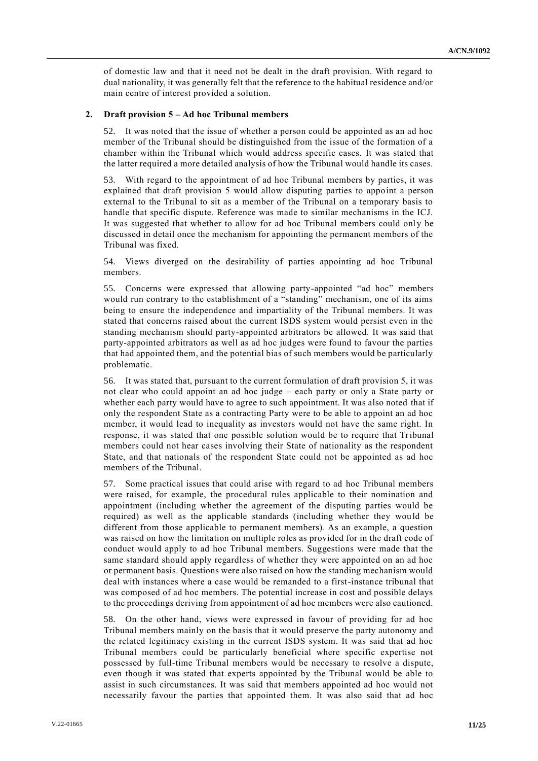of domestic law and that it need not be dealt in the draft provision. With regard to dual nationality, it was generally felt that the reference to the habitual residence and/or main centre of interest provided a solution.

### **2. Draft provision 5 – Ad hoc Tribunal members**

52. It was noted that the issue of whether a person could be appointed as an ad hoc member of the Tribunal should be distinguished from the issue of the formation of a chamber within the Tribunal which would address specific cases. It was stated that the latter required a more detailed analysis of how the Tribunal would handle its cases.

With regard to the appointment of ad hoc Tribunal members by parties, it was explained that draft provision 5 would allow disputing parties to appoint a person external to the Tribunal to sit as a member of the Tribunal on a temporary basis to handle that specific dispute. Reference was made to similar mechanisms in the ICJ. It was suggested that whether to allow for ad hoc Tribunal members could only be discussed in detail once the mechanism for appointing the permanent members of the Tribunal was fixed.

54. Views diverged on the desirability of parties appointing ad hoc Tribunal members.

55. Concerns were expressed that allowing party-appointed "ad hoc" members would run contrary to the establishment of a "standing" mechanism, one of its aims being to ensure the independence and impartiality of the Tribunal members. It was stated that concerns raised about the current ISDS system would persist even in the standing mechanism should party-appointed arbitrators be allowed. It was said that party-appointed arbitrators as well as ad hoc judges were found to favour the parties that had appointed them, and the potential bias of such members would be particularly problematic.

56. It was stated that, pursuant to the current formulation of draft provision 5, it was not clear who could appoint an ad hoc judge – each party or only a State party or whether each party would have to agree to such appointment. It was also noted that if only the respondent State as a contracting Party were to be able to appoint an ad hoc member, it would lead to inequality as investors would not have the same right. In response, it was stated that one possible solution would be to require that Tribunal members could not hear cases involving their State of nationality as the respondent State, and that nationals of the respondent State could not be appointed as ad hoc members of the Tribunal.

57. Some practical issues that could arise with regard to ad hoc Tribunal members were raised, for example, the procedural rules applicable to their nomination and appointment (including whether the agreement of the disputing parties would be required) as well as the applicable standards (including whether they would be different from those applicable to permanent members). As an example, a question was raised on how the limitation on multiple roles as provided for in the draft code of conduct would apply to ad hoc Tribunal members. Suggestions were made that the same standard should apply regardless of whether they were appointed on an ad hoc or permanent basis. Questions were also raised on how the standing mechanism would deal with instances where a case would be remanded to a first-instance tribunal that was composed of ad hoc members. The potential increase in cost and possible delays to the proceedings deriving from appointment of ad hoc members were also cautioned.

58. On the other hand, views were expressed in favour of providing for ad hoc Tribunal members mainly on the basis that it would preserve the party autonomy and the related legitimacy existing in the current ISDS system. It was said that ad hoc Tribunal members could be particularly beneficial where specific expertise not possessed by full-time Tribunal members would be necessary to resolve a dispute, even though it was stated that experts appointed by the Tribunal would be able to assist in such circumstances. It was said that members appointed ad hoc would not necessarily favour the parties that appointed them. It was also said that ad hoc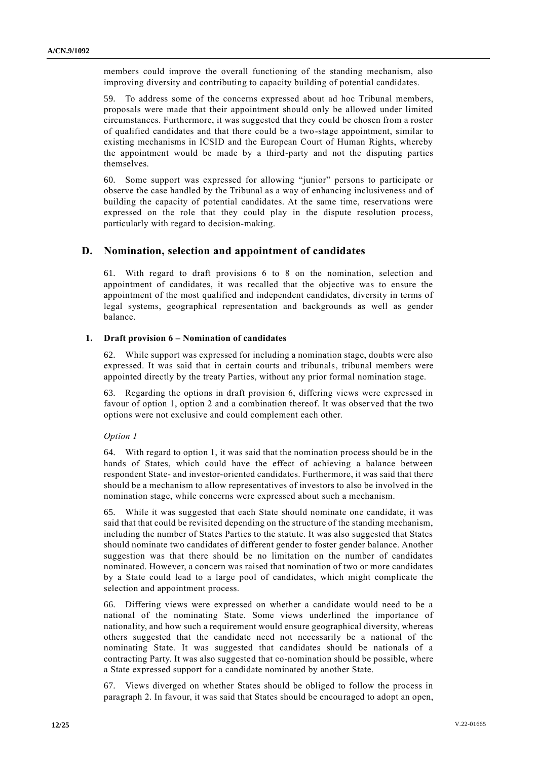members could improve the overall functioning of the standing mechanism, also improving diversity and contributing to capacity building of potential candidates.

59. To address some of the concerns expressed about ad hoc Tribunal members, proposals were made that their appointment should only be allowed under limited circumstances. Furthermore, it was suggested that they could be chosen from a roster of qualified candidates and that there could be a two-stage appointment, similar to existing mechanisms in ICSID and the European Court of Human Rights, whereby the appointment would be made by a third-party and not the disputing parties themselves.

60. Some support was expressed for allowing "junior" persons to participate or observe the case handled by the Tribunal as a way of enhancing inclusiveness and of building the capacity of potential candidates. At the same time, reservations were expressed on the role that they could play in the dispute resolution process, particularly with regard to decision-making.

## **D. Nomination, selection and appointment of candidates**

61. With regard to draft provisions 6 to 8 on the nomination, selection and appointment of candidates, it was recalled that the objective was to ensure the appointment of the most qualified and independent candidates, diversity in terms of legal systems, geographical representation and backgrounds as well as gender balance.

## **1. Draft provision 6 – Nomination of candidates**

While support was expressed for including a nomination stage, doubts were also expressed. It was said that in certain courts and tribunals, tribunal members were appointed directly by the treaty Parties, without any prior formal nomination stage.

63. Regarding the options in draft provision 6, differing views were expressed in favour of option 1, option 2 and a combination thereof. It was observed that the two options were not exclusive and could complement each other.

## *Option 1*

64. With regard to option 1, it was said that the nomination process should be in the hands of States, which could have the effect of achieving a balance between respondent State- and investor-oriented candidates. Furthermore, it was said that there should be a mechanism to allow representatives of investors to also be involved in the nomination stage, while concerns were expressed about such a mechanism.

65. While it was suggested that each State should nominate one candidate, it was said that that could be revisited depending on the structure of the standing mechanism, including the number of States Parties to the statute. It was also suggested that States should nominate two candidates of different gender to foster gender balance. Another suggestion was that there should be no limitation on the number of candidates nominated. However, a concern was raised that nomination of two or more candidates by a State could lead to a large pool of candidates, which might complicate the selection and appointment process.

66. Differing views were expressed on whether a candidate would need to be a national of the nominating State. Some views underlined the importance of nationality, and how such a requirement would ensure geographical diversity, whereas others suggested that the candidate need not necessarily be a national of the nominating State. It was suggested that candidates should be nationals of a contracting Party. It was also suggested that co-nomination should be possible, where a State expressed support for a candidate nominated by another State.

67. Views diverged on whether States should be obliged to follow the process in paragraph 2. In favour, it was said that States should be encouraged to adopt an open,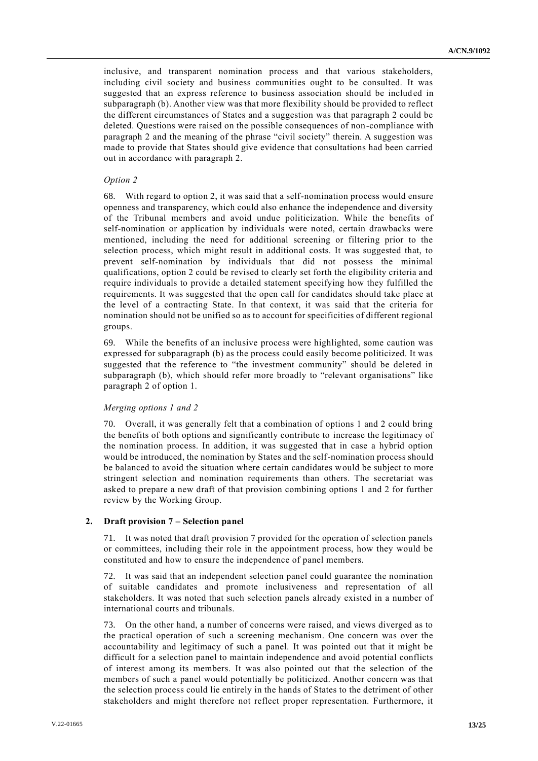inclusive, and transparent nomination process and that various stakeholders, including civil society and business communities ought to be consulted. It was suggested that an express reference to business association should be included in subparagraph (b). Another view was that more flexibility should be provided to reflect the different circumstances of States and a suggestion was that paragraph 2 could be deleted. Questions were raised on the possible consequences of non-compliance with paragraph 2 and the meaning of the phrase "civil society" therein. A suggestion was made to provide that States should give evidence that consultations had been carried out in accordance with paragraph 2.

#### *Option 2*

68. With regard to option 2, it was said that a self-nomination process would ensure openness and transparency, which could also enhance the independence and diversity of the Tribunal members and avoid undue politicization. While the benefits of self-nomination or application by individuals were noted, certain drawbacks were mentioned, including the need for additional screening or filtering prior to the selection process, which might result in additional costs. It was suggested that, to prevent self-nomination by individuals that did not possess the minimal qualifications, option 2 could be revised to clearly set forth the eligibility criteria and require individuals to provide a detailed statement specifying how they fulfilled the requirements. It was suggested that the open call for candidates should take place at the level of a contracting State. In that context, it was said that the criteria for nomination should not be unified so as to account for specificities of different regional groups.

69. While the benefits of an inclusive process were highlighted, some caution was expressed for subparagraph (b) as the process could easily become politicized. It was suggested that the reference to "the investment community" should be deleted in subparagraph (b), which should refer more broadly to "relevant organisations" like paragraph 2 of option 1.

#### *Merging options 1 and 2*

70. Overall, it was generally felt that a combination of options 1 and 2 could bring the benefits of both options and significantly contribute to increase the legitimacy of the nomination process. In addition, it was suggested that in case a hybrid option would be introduced, the nomination by States and the self-nomination process should be balanced to avoid the situation where certain candidates would be subject to more stringent selection and nomination requirements than others. The secretariat was asked to prepare a new draft of that provision combining options 1 and 2 for further review by the Working Group.

#### **2. Draft provision 7 – Selection panel**

It was noted that draft provision 7 provided for the operation of selection panels or committees, including their role in the appointment process, how they would be constituted and how to ensure the independence of panel members.

72. It was said that an independent selection panel could guarantee the nomination of suitable candidates and promote inclusiveness and representation of all stakeholders. It was noted that such selection panels already existed in a number of international courts and tribunals.

73. On the other hand, a number of concerns were raised, and views diverged as to the practical operation of such a screening mechanism. One concern was over the accountability and legitimacy of such a panel. It was pointed out that it might be difficult for a selection panel to maintain independence and avoid potential conflicts of interest among its members. It was also pointed out that the selection of the members of such a panel would potentially be politicized. Another concern was that the selection process could lie entirely in the hands of States to the detriment of other stakeholders and might therefore not reflect proper representation. Furthermore, it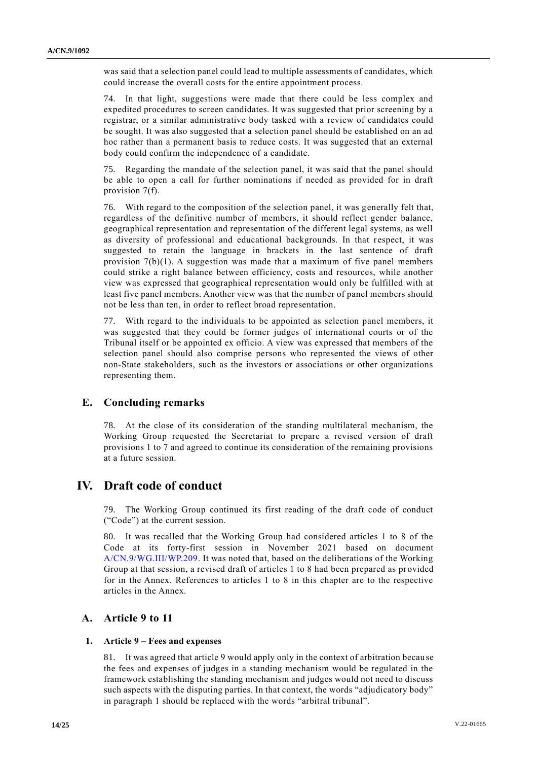was said that a selection panel could lead to multiple assessments of candidates, which could increase the overall costs for the entire appointment process.

74. In that light, suggestions were made that there could be less complex and expedited procedures to screen candidates. It was suggested that prior screening by a registrar, or a similar administrative body tasked with a review of candidates could be sought. It was also suggested that a selection panel should be established on an ad hoc rather than a permanent basis to reduce costs. It was suggested that an external body could confirm the independence of a candidate.

75. Regarding the mandate of the selection panel, it was said that the panel should be able to open a call for further nominations if needed as provided for in draft provision 7(f).

76. With regard to the composition of the selection panel, it was generally felt that, regardless of the definitive number of members, it should reflect gender balance, geographical representation and representation of the different legal systems, as well as diversity of professional and educational backgrounds. In that r espect, it was suggested to retain the language in brackets in the last sentence of draft provision 7(b)(1). A suggestion was made that a maximum of five panel members could strike a right balance between efficiency, costs and resources, while another view was expressed that geographical representation would only be fulfilled with at least five panel members. Another view was that the number of panel members should not be less than ten, in order to reflect broad representation.

77. With regard to the individuals to be appointed as selection panel members, it was suggested that they could be former judges of international courts or of the Tribunal itself or be appointed ex officio. A view was expressed that members of the selection panel should also comprise persons who represented the views of other non-State stakeholders, such as the investors or associations or other organizations representing them.

# **E. Concluding remarks**

78. At the close of its consideration of the standing multilateral mechanism, the Working Group requested the Secretariat to prepare a revised version of draft provisions 1 to 7 and agreed to continue its consideration of the remaining provisions at a future session.

# **IV. Draft code of conduct**

79. The Working Group continued its first reading of the draft code of conduct ("Code") at the current session.

80. It was recalled that the Working Group had considered articles 1 to 8 of the Code at its forty-first session in November 2021 based on document [A/CN.9/WG.III/WP.209.](http://undocs.org/A/CN.9/WG.III/WP.209) It was noted that, based on the deliberations of the Working Group at that session, a revised draft of articles 1 to 8 had been prepared as provided for in the Annex. References to articles 1 to 8 in this chapter are to the respective articles in the Annex.

## **A. Article 9 to 11**

## **1. Article 9 – Fees and expenses**

81. It was agreed that article 9 would apply only in the context of arbitration because the fees and expenses of judges in a standing mechanism would be regulated in the framework establishing the standing mechanism and judges would not need to discuss such aspects with the disputing parties. In that context, the words "adjudicatory body" in paragraph 1 should be replaced with the words "arbitral tribunal".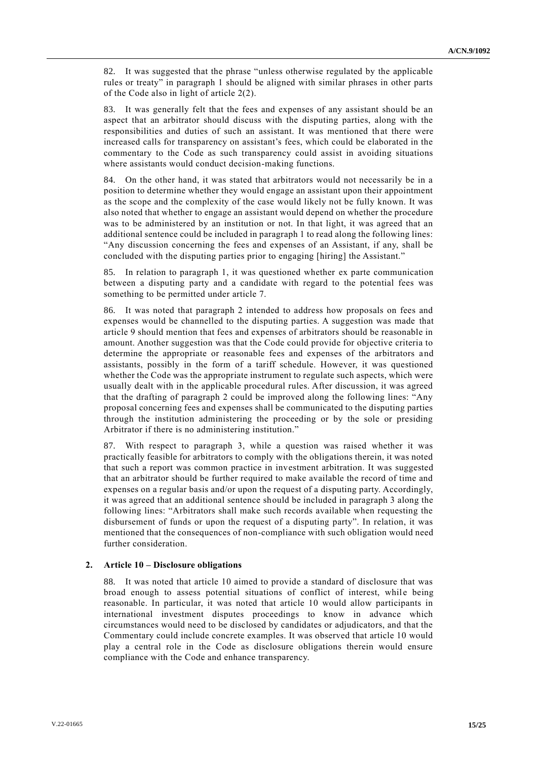82. It was suggested that the phrase "unless otherwise regulated by the applicable rules or treaty" in paragraph 1 should be aligned with similar phrases in other parts of the Code also in light of article 2(2).

83. It was generally felt that the fees and expenses of any assistant should be an aspect that an arbitrator should discuss with the disputing parties, along with the responsibilities and duties of such an assistant. It was mentioned that there were increased calls for transparency on assistant's fees, which could be elaborated in the commentary to the Code as such transparency could assist in avoiding situations where assistants would conduct decision-making functions.

84. On the other hand, it was stated that arbitrators would not necessarily be in a position to determine whether they would engage an assistant upon their appointment as the scope and the complexity of the case would likely not be fully known. It was also noted that whether to engage an assistant would depend on whether the procedure was to be administered by an institution or not. In that light, it was agreed that an additional sentence could be included in paragraph 1 to read along the following lines: "Any discussion concerning the fees and expenses of an Assistant, if any, shall be concluded with the disputing parties prior to engaging [hiring] the Assistant."

85. In relation to paragraph 1, it was questioned whether ex parte communication between a disputing party and a candidate with regard to the potential fees was something to be permitted under article 7.

86. It was noted that paragraph 2 intended to address how proposals on fees and expenses would be channelled to the disputing parties. A suggestion was made that article 9 should mention that fees and expenses of arbitrators should be reasonable in amount. Another suggestion was that the Code could provide for objective criteria to determine the appropriate or reasonable fees and expenses of the arbitrators and assistants, possibly in the form of a tariff schedule. However, it was questioned whether the Code was the appropriate instrument to regulate such aspects, which were usually dealt with in the applicable procedural rules. After discussion, it was agreed that the drafting of paragraph 2 could be improved along the following lines: "Any proposal concerning fees and expenses shall be communicated to the disputing parties through the institution administering the proceeding or by the sole or presiding Arbitrator if there is no administering institution."

With respect to paragraph 3, while a question was raised whether it was practically feasible for arbitrators to comply with the obligations therein, it was noted that such a report was common practice in investment arbitration. It was suggested that an arbitrator should be further required to make available the record of time and expenses on a regular basis and/or upon the request of a disputing party. Accordingly, it was agreed that an additional sentence should be included in paragraph 3 along the following lines: "Arbitrators shall make such records available when requesting the disbursement of funds or upon the request of a disputing party". In relation, it was mentioned that the consequences of non-compliance with such obligation would need further consideration.

#### **2. Article 10 – Disclosure obligations**

88. It was noted that article 10 aimed to provide a standard of disclosure that was broad enough to assess potential situations of conflict of interest, while being reasonable. In particular, it was noted that article 10 would allow participants in international investment disputes proceedings to know in advance which circumstances would need to be disclosed by candidates or adjudicators, and that the Commentary could include concrete examples. It was observed that article 10 would play a central role in the Code as disclosure obligations therein would ensure compliance with the Code and enhance transparency.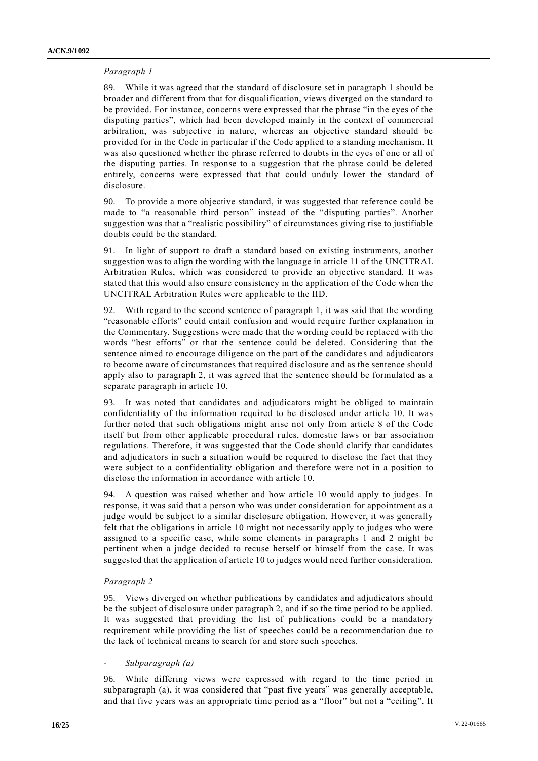## *Paragraph 1*

89. While it was agreed that the standard of disclosure set in paragraph 1 should be broader and different from that for disqualification, views diverged on the standard to be provided. For instance, concerns were expressed that the phrase "in the eyes of the disputing parties", which had been developed mainly in the context of commercial arbitration, was subjective in nature, whereas an objective standard should be provided for in the Code in particular if the Code applied to a standing mechanism. It was also questioned whether the phrase referred to doubts in the eyes of one or all of the disputing parties. In response to a suggestion that the phrase could be deleted entirely, concerns were expressed that that could unduly lower the standard of disclosure.

90. To provide a more objective standard, it was suggested that reference could be made to "a reasonable third person" instead of the "disputing parties". Another suggestion was that a "realistic possibility" of circumstances giving rise to justifiable doubts could be the standard.

91. In light of support to draft a standard based on existing instruments, another suggestion was to align the wording with the language in article 11 of the UNCITRAL Arbitration Rules, which was considered to provide an objective standard. It was stated that this would also ensure consistency in the application of the Code when the UNCITRAL Arbitration Rules were applicable to the IID.

92. With regard to the second sentence of paragraph 1, it was said that the wording "reasonable efforts" could entail confusion and would require further explanation in the Commentary. Suggestions were made that the wording could be replaced with the words "best efforts" or that the sentence could be deleted. Considering that the sentence aimed to encourage diligence on the part of the candidates and adjudicators to become aware of circumstances that required disclosure and as the sentence should apply also to paragraph 2, it was agreed that the sentence should be formulated as a separate paragraph in article 10.

93. It was noted that candidates and adjudicators might be obliged to maintain confidentiality of the information required to be disclosed under article 10. It was further noted that such obligations might arise not only from article 8 of the Code itself but from other applicable procedural rules, domestic laws or bar association regulations. Therefore, it was suggested that the Code should clarify that candidates and adjudicators in such a situation would be required to disclose the fact that they were subject to a confidentiality obligation and therefore were not in a position to disclose the information in accordance with article 10.

94. A question was raised whether and how article 10 would apply to judges. In response, it was said that a person who was under consideration for appointment as a judge would be subject to a similar disclosure obligation. However, it was generally felt that the obligations in article 10 might not necessarily apply to judges who were assigned to a specific case, while some elements in paragraphs 1 and 2 might be pertinent when a judge decided to recuse herself or himself from the case. It was suggested that the application of article 10 to judges would need further consideration.

## *Paragraph 2*

95. Views diverged on whether publications by candidates and adjudicators should be the subject of disclosure under paragraph 2, and if so the time period to be applied. It was suggested that providing the list of publications could be a mandatory requirement while providing the list of speeches could be a recommendation due to the lack of technical means to search for and store such speeches.

#### *- Subparagraph (a)*

96. While differing views were expressed with regard to the time period in subparagraph (a), it was considered that "past five years" was generally acceptable, and that five years was an appropriate time period as a "floor" but not a "ceiling". It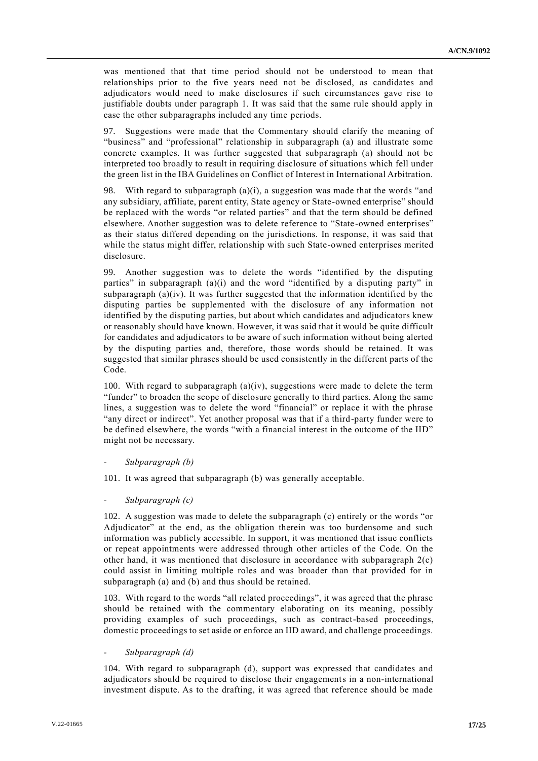was mentioned that that time period should not be understood to mean that relationships prior to the five years need not be disclosed, as candidates and adjudicators would need to make disclosures if such circumstances gave rise to justifiable doubts under paragraph 1. It was said that the same rule should apply in case the other subparagraphs included any time periods.

97. Suggestions were made that the Commentary should clarify the meaning of "business" and "professional" relationship in subparagraph (a) and illustrate some concrete examples. It was further suggested that subparagraph (a) should not be interpreted too broadly to result in requiring disclosure of situations which fell under the green list in the IBA Guidelines on Conflict of Interest in International Arbitration.

98. With regard to subparagraph (a)(i), a suggestion was made that the words "and any subsidiary, affiliate, parent entity, State agency or State-owned enterprise" should be replaced with the words "or related parties" and that the term should be defined elsewhere. Another suggestion was to delete reference to "State-owned enterprises" as their status differed depending on the jurisdictions. In response, it was said that while the status might differ, relationship with such State-owned enterprises merited disclosure.

99. Another suggestion was to delete the words "identified by the disputing parties" in subparagraph (a)(i) and the word "identified by a disputing party" in subparagraph (a)(iv). It was further suggested that the information identified by the disputing parties be supplemented with the disclosure of any information not identified by the disputing parties, but about which candidates and adjudicators knew or reasonably should have known. However, it was said that it would be quite difficult for candidates and adjudicators to be aware of such information without being alerted by the disputing parties and, therefore, those words should be retained. It was suggested that similar phrases should be used consistently in the different parts of the Code.

100. With regard to subparagraph  $(a)(iv)$ , suggestions were made to delete the term "funder" to broaden the scope of disclosure generally to third parties. Along the same lines, a suggestion was to delete the word "financial" or replace it with the phrase "any direct or indirect". Yet another proposal was that if a third-party funder were to be defined elsewhere, the words "with a financial interest in the outcome of the IID" might not be necessary.

#### *- Subparagraph (b)*

101. It was agreed that subparagraph (b) was generally acceptable.

*- Subparagraph (c)*

102. A suggestion was made to delete the subparagraph (c) entirely or the words "or Adjudicator" at the end, as the obligation therein was too burdensome and such information was publicly accessible. In support, it was mentioned that issue conflicts or repeat appointments were addressed through other articles of the Code. On the other hand, it was mentioned that disclosure in accordance with subparagraph  $2(c)$ could assist in limiting multiple roles and was broader than that provided for in subparagraph (a) and (b) and thus should be retained.

103. With regard to the words "all related proceedings", it was agreed that the phrase should be retained with the commentary elaborating on its meaning, possibly providing examples of such proceedings, such as contract-based proceedings, domestic proceedings to set aside or enforce an IID award, and challenge proceedings.

*- Subparagraph (d)*

104. With regard to subparagraph (d), support was expressed that candidates and adjudicators should be required to disclose their engagements in a non-international investment dispute. As to the drafting, it was agreed that reference should be made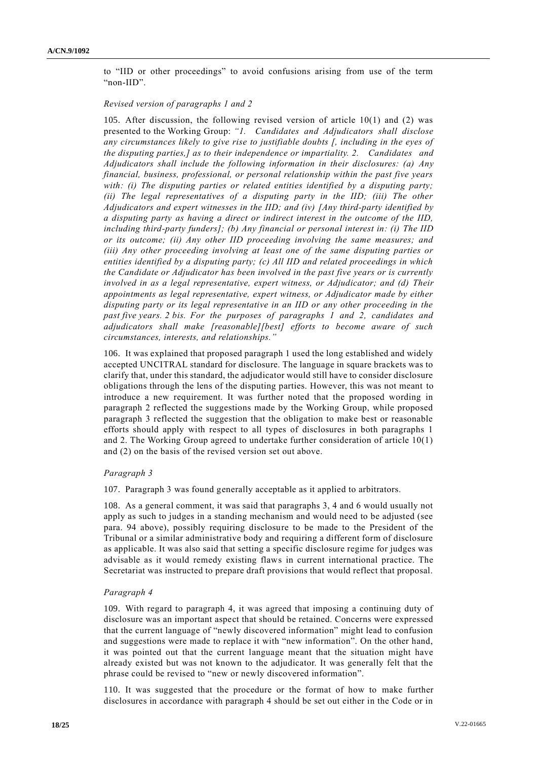to "IID or other proceedings" to avoid confusions arising from use of the term "non-IID".

#### *Revised version of paragraphs 1 and 2*

105. After discussion, the following revised version of article 10(1) and (2) was presented to the Working Group: *"1. Candidates and Adjudicators shall disclose any circumstances likely to give rise to justifiable doubts [, including in the eyes of the disputing parties,] as to their independence or impartiality. 2. Candidates and Adjudicators shall include the following information in their disclosures: (a) Any financial, business, professional, or personal relationship within the past five years with: (i) The disputing parties or related entities identified by a disputing party; (ii) The legal representatives of a disputing party in the IID; (iii) The other Adjudicators and expert witnesses in the IID; and (iv) [Any third-party identified by a disputing party as having a direct or indirect interest in the outcome of the IID, including third-party funders]; (b) Any financial or personal interest in: (i) The IID or its outcome; (ii) Any other IID proceeding involving the same measures; and (iii) Any other proceeding involving at least one of the same disputing parties or entities identified by a disputing party; (c) All IID and related proceedings in which the Candidate or Adjudicator has been involved in the past five years or is currently involved in as a legal representative, expert witness, or Adjudicator; and (d) Their appointments as legal representative, expert witness, or Adjudicator made by either disputing party or its legal representative in an IID or any other proceeding in the past five years. 2 bis. For the purposes of paragraphs 1 and 2, candidates and adjudicators shall make [reasonable][best] efforts to become aware of such circumstances, interests, and relationships."*

106. It was explained that proposed paragraph 1 used the long established and widely accepted UNCITRAL standard for disclosure. The language in square brackets was to clarify that, under this standard, the adjudicator would still have to consider disclosure obligations through the lens of the disputing parties. However, this was not meant to introduce a new requirement. It was further noted that the proposed wording in paragraph 2 reflected the suggestions made by the Working Group, while proposed paragraph 3 reflected the suggestion that the obligation to make best or reasonable efforts should apply with respect to all types of disclosures in both paragraphs 1 and 2. The Working Group agreed to undertake further consideration of article 10(1) and (2) on the basis of the revised version set out above.

### *Paragraph 3*

107. Paragraph 3 was found generally acceptable as it applied to arbitrators.

108. As a general comment, it was said that paragraphs 3, 4 and 6 would usually not apply as such to judges in a standing mechanism and would need to be adjusted (see para. 94 above), possibly requiring disclosure to be made to the President of the Tribunal or a similar administrative body and requiring a different form of disclosure as applicable. It was also said that setting a specific disclosure regime for judges was advisable as it would remedy existing flaws in current international practice. The Secretariat was instructed to prepare draft provisions that would reflect that proposal.

#### *Paragraph 4*

109. With regard to paragraph 4, it was agreed that imposing a continuing duty of disclosure was an important aspect that should be retained. Concerns were expressed that the current language of "newly discovered information" might lead to confusion and suggestions were made to replace it with "new information". On the other hand, it was pointed out that the current language meant that the situation might have already existed but was not known to the adjudicator. It was generally felt that the phrase could be revised to "new or newly discovered information".

110. It was suggested that the procedure or the format of how to make further disclosures in accordance with paragraph 4 should be set out either in the Code or in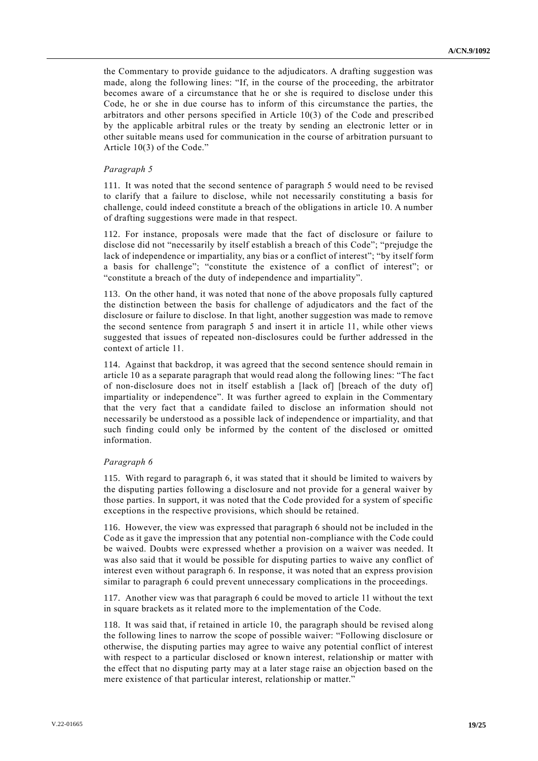the Commentary to provide guidance to the adjudicators. A drafting suggestion was made, along the following lines: "If, in the course of the proceeding, the arbitrator becomes aware of a circumstance that he or she is required to disclose under this Code, he or she in due course has to inform of this circumstance the parties, the arbitrators and other persons specified in Article 10(3) of the Code and prescribed by the applicable arbitral rules or the treaty by sending an electronic letter or in other suitable means used for communication in the course of arbitration pursuant to Article 10(3) of the Code."

#### *Paragraph 5*

111. It was noted that the second sentence of paragraph 5 would need to be revised to clarify that a failure to disclose, while not necessarily constituting a basis for challenge, could indeed constitute a breach of the obligations in article 10. A number of drafting suggestions were made in that respect.

112. For instance, proposals were made that the fact of disclosure or failure to disclose did not "necessarily by itself establish a breach of this Code"; "prejudge the lack of independence or impartiality, any bias or a conflict of interest"; "by itself form a basis for challenge"; "constitute the existence of a conflict of interest"; or "constitute a breach of the duty of independence and impartiality".

113. On the other hand, it was noted that none of the above proposals fully captured the distinction between the basis for challenge of adjudicators and the fact of the disclosure or failure to disclose. In that light, another suggestion was made to remove the second sentence from paragraph 5 and insert it in article 11, while other views suggested that issues of repeated non-disclosures could be further addressed in the context of article 11.

114. Against that backdrop, it was agreed that the second sentence should remain in article 10 as a separate paragraph that would read along the following lines: "The fac t of non-disclosure does not in itself establish a [lack of] [breach of the duty of] impartiality or independence". It was further agreed to explain in the Commentary that the very fact that a candidate failed to disclose an information should not necessarily be understood as a possible lack of independence or impartiality, and that such finding could only be informed by the content of the disclosed or omitted information.

#### *Paragraph 6*

115. With regard to paragraph 6, it was stated that it should be limited to waivers by the disputing parties following a disclosure and not provide for a general waiver by those parties. In support, it was noted that the Code provided for a system of specific exceptions in the respective provisions, which should be retained.

116. However, the view was expressed that paragraph 6 should not be included in the Code as it gave the impression that any potential non-compliance with the Code could be waived. Doubts were expressed whether a provision on a waiver was needed. It was also said that it would be possible for disputing parties to waive any conflict of interest even without paragraph 6. In response, it was noted that an express provision similar to paragraph 6 could prevent unnecessary complications in the proceedings.

117. Another view was that paragraph 6 could be moved to article 11 without the text in square brackets as it related more to the implementation of the Code.

118. It was said that, if retained in article 10, the paragraph should be revised along the following lines to narrow the scope of possible waiver: "Following disclosure or otherwise, the disputing parties may agree to waive any potential conflict of interest with respect to a particular disclosed or known interest, relationship or matter with the effect that no disputing party may at a later stage raise an objection based on the mere existence of that particular interest, relationship or matter."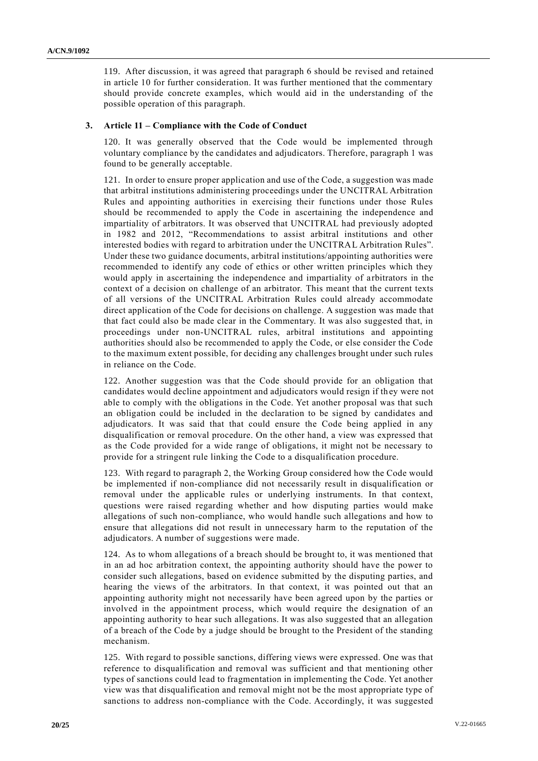119. After discussion, it was agreed that paragraph 6 should be revised and retained in article 10 for further consideration. It was further mentioned that the commentary should provide concrete examples, which would aid in the understanding of the possible operation of this paragraph.

### **3. Article 11 – Compliance with the Code of Conduct**

120. It was generally observed that the Code would be implemented through voluntary compliance by the candidates and adjudicators. Therefore, paragraph 1 was found to be generally acceptable.

121. In order to ensure proper application and use of the Code, a suggestion was made that arbitral institutions administering proceedings under the UNCITRAL Arbitration Rules and appointing authorities in exercising their functions under those Rules should be recommended to apply the Code in ascertaining the independence and impartiality of arbitrators. It was observed that UNCITRAL had previously adopted in 1982 and 2012, "Recommendations to assist arbitral institutions and other interested bodies with regard to arbitration under the UNCITRAL Arbitration Rules". Under these two guidance documents, arbitral institutions/appointing authorities were recommended to identify any code of ethics or other written principles which they would apply in ascertaining the independence and impartiality of arbitrators in the context of a decision on challenge of an arbitrator. This meant that the current texts of all versions of the UNCITRAL Arbitration Rules could already accommodate direct application of the Code for decisions on challenge. A suggestion was made that that fact could also be made clear in the Commentary. It was also suggested that, in proceedings under non-UNCITRAL rules, arbitral institutions and appointing authorities should also be recommended to apply the Code, or else consider the Code to the maximum extent possible, for deciding any challenges brought under such rules in reliance on the Code.

122. Another suggestion was that the Code should provide for an obligation that candidates would decline appointment and adjudicators would resign if they were not able to comply with the obligations in the Code. Yet another proposal was that such an obligation could be included in the declaration to be signed by candidates and adjudicators. It was said that that could ensure the Code being applied in any disqualification or removal procedure. On the other hand, a view was expressed that as the Code provided for a wide range of obligations, it might not be necessary to provide for a stringent rule linking the Code to a disqualification procedure.

123. With regard to paragraph 2, the Working Group considered how the Code would be implemented if non-compliance did not necessarily result in disqualification or removal under the applicable rules or underlying instruments. In that context, questions were raised regarding whether and how disputing parties would make allegations of such non-compliance, who would handle such allegations and how to ensure that allegations did not result in unnecessary harm to the reputation of the adjudicators. A number of suggestions were made.

124. As to whom allegations of a breach should be brought to, it was mentioned that in an ad hoc arbitration context, the appointing authority should have the power to consider such allegations, based on evidence submitted by the disputing parties, and hearing the views of the arbitrators. In that context, it was pointed out that an appointing authority might not necessarily have been agreed upon by the parties or involved in the appointment process, which would require the designation of an appointing authority to hear such allegations. It was also suggested that an allegation of a breach of the Code by a judge should be brought to the President of the standing mechanism.

125. With regard to possible sanctions, differing views were expressed. One was that reference to disqualification and removal was sufficient and that mentioning other types of sanctions could lead to fragmentation in implementing the Code. Yet another view was that disqualification and removal might not be the most appropriate type of sanctions to address non-compliance with the Code. Accordingly, it was suggested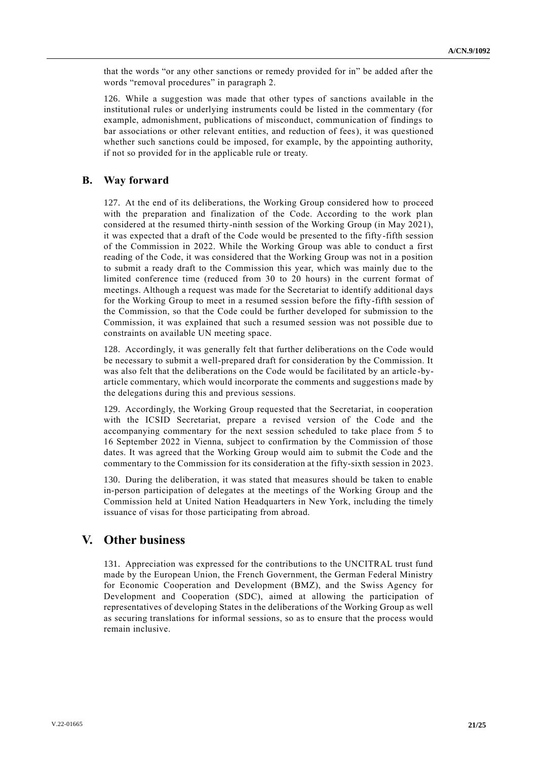that the words "or any other sanctions or remedy provided for in" be added after the words "removal procedures" in paragraph 2.

126. While a suggestion was made that other types of sanctions available in the institutional rules or underlying instruments could be listed in the commentary (for example, admonishment, publications of misconduct, communication of findings to bar associations or other relevant entities, and reduction of fees), it was questioned whether such sanctions could be imposed, for example, by the appointing authority, if not so provided for in the applicable rule or treaty.

## **B. Way forward**

127. At the end of its deliberations, the Working Group considered how to proceed with the preparation and finalization of the Code. According to the work plan considered at the resumed thirty-ninth session of the Working Group (in May 2021), it was expected that a draft of the Code would be presented to the fifty-fifth session of the Commission in 2022. While the Working Group was able to conduct a first reading of the Code, it was considered that the Working Group was not in a position to submit a ready draft to the Commission this year, which was mainly due to the limited conference time (reduced from 30 to 20 hours) in the current format of meetings. Although a request was made for the Secretariat to identify additional days for the Working Group to meet in a resumed session before the fifty-fifth session of the Commission, so that the Code could be further developed for submission to the Commission, it was explained that such a resumed session was not possible due to constraints on available UN meeting space.

128. Accordingly, it was generally felt that further deliberations on the Code would be necessary to submit a well-prepared draft for consideration by the Commission. It was also felt that the deliberations on the Code would be facilitated by an article -byarticle commentary, which would incorporate the comments and suggestions made by the delegations during this and previous sessions.

129. Accordingly, the Working Group requested that the Secretariat, in cooperation with the ICSID Secretariat, prepare a revised version of the Code and the accompanying commentary for the next session scheduled to take place from 5 to 16 September 2022 in Vienna, subject to confirmation by the Commission of those dates. It was agreed that the Working Group would aim to submit the Code and the commentary to the Commission for its consideration at the fifty-sixth session in 2023.

130. During the deliberation, it was stated that measures should be taken to enable in-person participation of delegates at the meetings of the Working Group and the Commission held at United Nation Headquarters in New York, including the timely issuance of visas for those participating from abroad.

# **V. Other business**

131. Appreciation was expressed for the contributions to the UNCITRAL trust fund made by the European Union, the French Government, the German Federal Ministry for Economic Cooperation and Development (BMZ), and the Swiss Agency for Development and Cooperation (SDC), aimed at allowing the participation of representatives of developing States in the deliberations of the Working Group as well as securing translations for informal sessions, so as to ensure that the process would remain inclusive.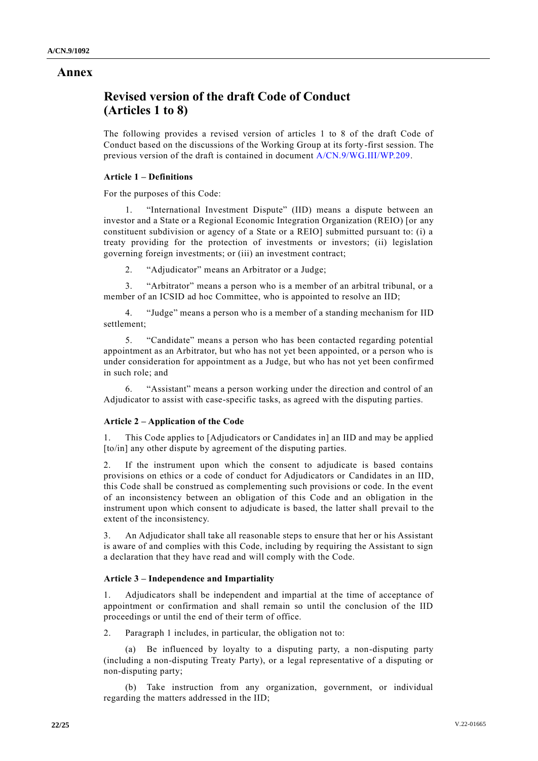## **Annex**

# **Revised version of the draft Code of Conduct (Articles 1 to 8)**

The following provides a revised version of articles 1 to 8 of the draft Code of Conduct based on the discussions of the Working Group at its forty-first session. The previous version of the draft is contained in document [A/CN.9/WG.III/WP.209.](http://undocs.org/A/CN.9/WG.III/WP.209)

## **Article 1 – Definitions**

For the purposes of this Code:

1. "International Investment Dispute" (IID) means a dispute between an investor and a State or a Regional Economic Integration Organization (REIO) [or any constituent subdivision or agency of a State or a REIO] submitted pursuant to: (i) a treaty providing for the protection of investments or investors; (ii) legislation governing foreign investments; or (iii) an investment contract;

2. "Adjudicator" means an Arbitrator or a Judge;

3. "Arbitrator" means a person who is a member of an arbitral tribunal, or a member of an ICSID ad hoc Committee, who is appointed to resolve an IID;

4. "Judge" means a person who is a member of a standing mechanism for IID settlement;

5. "Candidate" means a person who has been contacted regarding potential appointment as an Arbitrator, but who has not yet been appointed, or a person who is under consideration for appointment as a Judge, but who has not yet been confirmed in such role; and

6. "Assistant" means a person working under the direction and control of an Adjudicator to assist with case-specific tasks, as agreed with the disputing parties.

## **Article 2 – Application of the Code**

1. This Code applies to [Adjudicators or Candidates in] an IID and may be applied [to/in] any other dispute by agreement of the disputing parties.

2. If the instrument upon which the consent to adjudicate is based contains provisions on ethics or a code of conduct for Adjudicators or Candidates in an IID, this Code shall be construed as complementing such provisions or code. In the event of an inconsistency between an obligation of this Code and an obligation in the instrument upon which consent to adjudicate is based, the latter shall prevail to the extent of the inconsistency.

3. An Adjudicator shall take all reasonable steps to ensure that her or his Assistant is aware of and complies with this Code, including by requiring the Assistant to sign a declaration that they have read and will comply with the Code.

## **Article 3 – Independence and Impartiality**

1. Adjudicators shall be independent and impartial at the time of acceptance of appointment or confirmation and shall remain so until the conclusion of the IID proceedings or until the end of their term of office.

2. Paragraph 1 includes, in particular, the obligation not to:

(a) Be influenced by loyalty to a disputing party, a non-disputing party (including a non-disputing Treaty Party), or a legal representative of a disputing or non-disputing party;

(b) Take instruction from any organization, government, or individual regarding the matters addressed in the IID;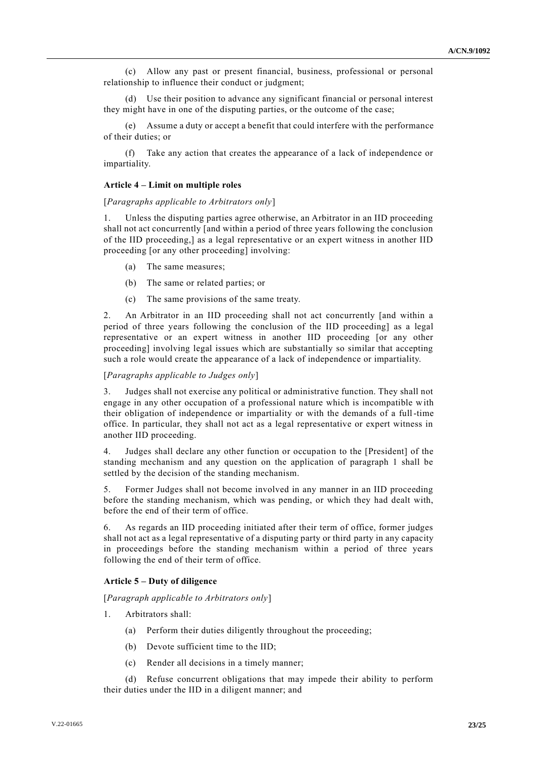(c) Allow any past or present financial, business, professional or personal relationship to influence their conduct or judgment;

(d) Use their position to advance any significant financial or personal interest they might have in one of the disputing parties, or the outcome of the case;

(e) Assume a duty or accept a benefit that could interfere with the performance of their duties; or

(f) Take any action that creates the appearance of a lack of independence or impartiality.

#### **Article 4 – Limit on multiple roles**

#### [*Paragraphs applicable to Arbitrators only*]

Unless the disputing parties agree otherwise, an Arbitrator in an IID proceeding shall not act concurrently [and within a period of three years following the conclusion of the IID proceeding,] as a legal representative or an expert witness in another IID proceeding [or any other proceeding] involving:

- (a) The same measures;
- (b) The same or related parties; or
- (c) The same provisions of the same treaty.

2. An Arbitrator in an IID proceeding shall not act concurrently [and within a period of three years following the conclusion of the IID proceeding] as a legal representative or an expert witness in another IID proceeding [or any other proceeding] involving legal issues which are substantially so similar that accepting such a role would create the appearance of a lack of independence or impartiality.

#### [*Paragraphs applicable to Judges only*]

3. Judges shall not exercise any political or administrative function. They shall not engage in any other occupation of a professional nature which is incompatible with their obligation of independence or impartiality or with the demands of a full-time office. In particular, they shall not act as a legal representative or expert witness in another IID proceeding.

4. Judges shall declare any other function or occupation to the [President] of the standing mechanism and any question on the application of paragraph 1 shall be settled by the decision of the standing mechanism.

5. Former Judges shall not become involved in any manner in an IID proceeding before the standing mechanism, which was pending, or which they had dealt with, before the end of their term of office.

6. As regards an IID proceeding initiated after their term of office, former judges shall not act as a legal representative of a disputing party or third party in any capacity in proceedings before the standing mechanism within a period of three years following the end of their term of office.

## **Article 5 – Duty of diligence**

[*Paragraph applicable to Arbitrators only*]

- 1. Arbitrators shall:
	- (a) Perform their duties diligently throughout the proceeding;
	- (b) Devote sufficient time to the IID;
	- (c) Render all decisions in a timely manner;
- (d) Refuse concurrent obligations that may impede their ability to perform their duties under the IID in a diligent manner; and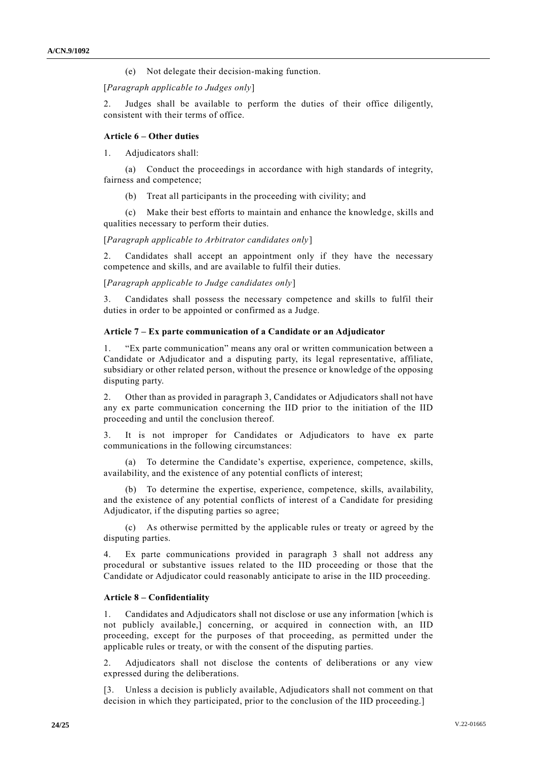(e) Not delegate their decision-making function.

[*Paragraph applicable to Judges only*]

Judges shall be available to perform the duties of their office diligently, consistent with their terms of office.

#### **Article 6 – Other duties**

1. Adjudicators shall:

(a) Conduct the proceedings in accordance with high standards of integrity, fairness and competence;

(b) Treat all participants in the proceeding with civility; and

(c) Make their best efforts to maintain and enhance the knowledge, skills and qualities necessary to perform their duties.

[*Paragraph applicable to Arbitrator candidates only*]

2. Candidates shall accept an appointment only if they have the necessary competence and skills, and are available to fulfil their duties.

[*Paragraph applicable to Judge candidates only*]

3. Candidates shall possess the necessary competence and skills to fulfil their duties in order to be appointed or confirmed as a Judge.

#### **Article 7 – Ex parte communication of a Candidate or an Adjudicator**

1. "Ex parte communication" means any oral or written communication between a Candidate or Adjudicator and a disputing party, its legal representative, affiliate, subsidiary or other related person, without the presence or knowledge of the opposing disputing party.

2. Other than as provided in paragraph 3, Candidates or Adjudicators shall not have any ex parte communication concerning the IID prior to the initiation of the IID proceeding and until the conclusion thereof.

3. It is not improper for Candidates or Adjudicators to have ex parte communications in the following circumstances:

(a) To determine the Candidate's expertise, experience, competence, skills, availability, and the existence of any potential conflicts of interest;

(b) To determine the expertise, experience, competence, skills, availability, and the existence of any potential conflicts of interest of a Candidate for presiding Adjudicator, if the disputing parties so agree;

(c) As otherwise permitted by the applicable rules or treaty or agreed by the disputing parties.

4. Ex parte communications provided in paragraph 3 shall not address any procedural or substantive issues related to the IID proceeding or those that the Candidate or Adjudicator could reasonably anticipate to arise in the IID proceeding.

#### **Article 8 – Confidentiality**

1. Candidates and Adjudicators shall not disclose or use any information [which is not publicly available,] concerning, or acquired in connection with, an IID proceeding, except for the purposes of that proceeding, as permitted under the applicable rules or treaty, or with the consent of the disputing parties.

Adjudicators shall not disclose the contents of deliberations or any view expressed during the deliberations.

[3. Unless a decision is publicly available, Adjudicators shall not comment on that decision in which they participated, prior to the conclusion of the IID proceeding.]